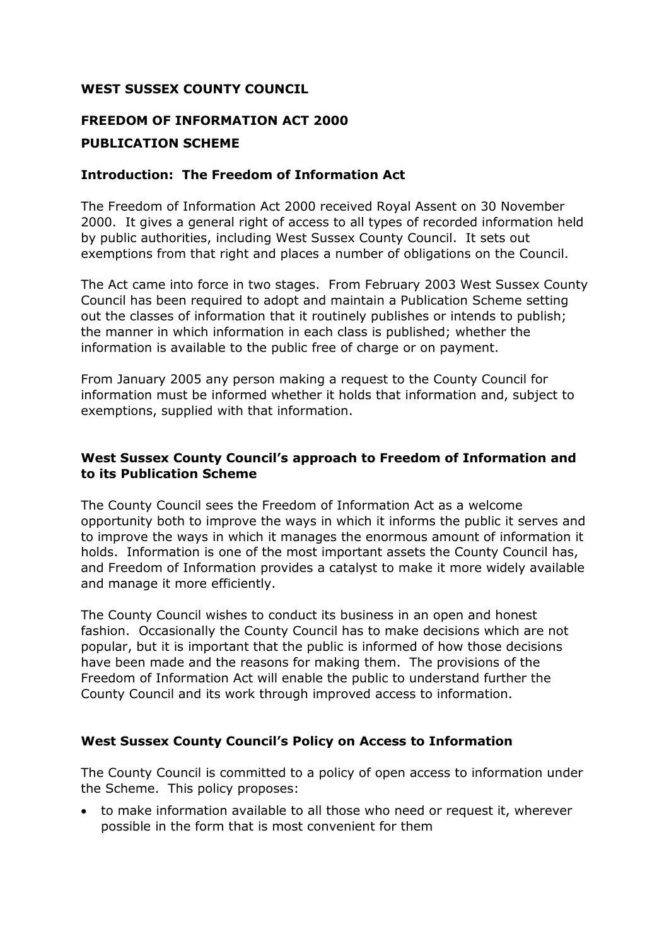### **WEST SUSSEX COUNTY COUNCIL**

# **FREEDOM OF INFORMATION ACT 2000 PUBLICATION SCHEME**

### **Introduction: The Freedom of Information Act**

The Freedom of Information Act 2000 received Royal Assent on 30 November 2000. It gives a general right of access to all types of recorded information held by public authorities, including West Sussex County Council. It sets out exemptions from that right and places a number of obligations on the Council.

The Act came into force in two stages. From February 2003 West Sussex County Council has been required to adopt and maintain a Publication Scheme setting out the classes of information that it routinely publishes or intends to publish; the manner in which information in each class is published; whether the information is available to the public free of charge or on payment.

From January 2005 any person making a request to the County Council for information must be informed whether it holds that information and, subject to exemptions, supplied with that information.

## **West Sussex County Council's approach to Freedom of Information and to its Publication Scheme**

The County Council sees the Freedom of Information Act as a welcome opportunity both to improve the ways in which it informs the public it serves and to improve the ways in which it manages the enormous amount of information it holds. Information is one of the most important assets the County Council has, and Freedom of Information provides a catalyst to make it more widely available and manage it more efficiently.

The County Council wishes to conduct its business in an open and honest fashion. Occasionally the County Council has to make decisions which are not popular, but it is important that the public is informed of how those decisions have been made and the reasons for making them. The provisions of the Freedom of Information Act will enable the public to understand further the County Council and its work through improved access to information.

### **West Sussex County Council's Policy on Access to Information**

The County Council is committed to a policy of open access to information under the Scheme. This policy proposes:

 to make information available to all those who need or request it, wherever possible in the form that is most convenient for them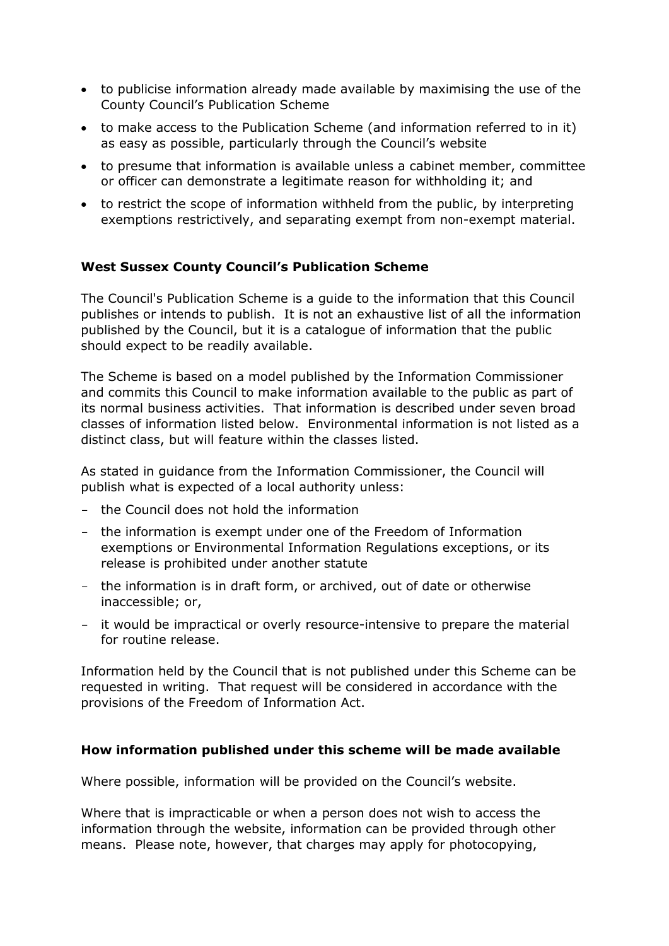- to publicise information already made available by maximising the use of the County Council's Publication Scheme
- to make access to the Publication Scheme (and information referred to in it) as easy as possible, particularly through the Council's website
- to presume that information is available unless a cabinet member, committee or officer can demonstrate a legitimate reason for withholding it; and
- to restrict the scope of information withheld from the public, by interpreting exemptions restrictively, and separating exempt from non-exempt material.

## **West Sussex County Council's Publication Scheme**

The Council's Publication Scheme is a guide to the information that this Council publishes or intends to publish. It is not an exhaustive list of all the information published by the Council, but it is a catalogue of information that the public should expect to be readily available.

The Scheme is based on a model published by the Information Commissioner and commits this Council to make information available to the public as part of its normal business activities. That information is described under seven broad classes of information listed below. Environmental information is not listed as a distinct class, but will feature within the classes listed.

As stated in guidance from the Information Commissioner, the Council will publish what is expected of a local authority unless:

- the Council does not hold the information
- the information is exempt under one of the Freedom of Information exemptions or Environmental Information Regulations exceptions, or its release is prohibited under another statute
- the information is in draft form, or archived, out of date or otherwise inaccessible; or,
- it would be impractical or overly resource-intensive to prepare the material for routine release.

Information held by the Council that is not published under this Scheme can be requested in writing. That request will be considered in accordance with the provisions of the Freedom of Information Act.

### **How information published under this scheme will be made available**

Where possible, information will be provided on the Council's website.

Where that is impracticable or when a person does not wish to access the information through the website, information can be provided through other means. Please note, however, that charges may apply for photocopying,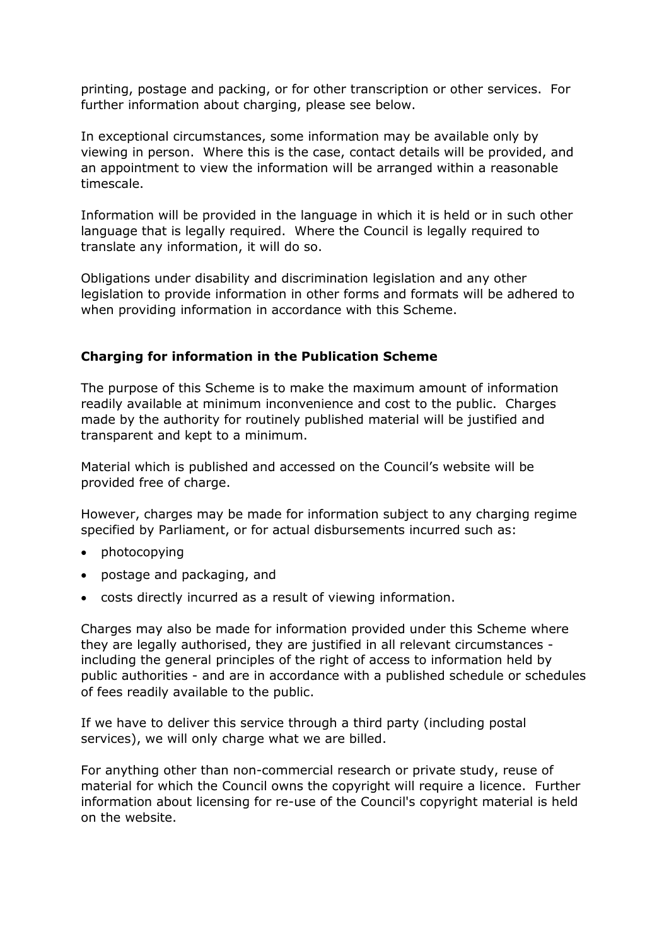printing, postage and packing, or for other transcription or other services. For further information about charging, please see below.

In exceptional circumstances, some information may be available only by viewing in person. Where this is the case, contact details will be provided, and an appointment to view the information will be arranged within a reasonable timescale.

Information will be provided in the language in which it is held or in such other language that is legally required. Where the Council is legally required to translate any information, it will do so.

Obligations under disability and discrimination legislation and any other legislation to provide information in other forms and formats will be adhered to when providing information in accordance with this Scheme.

### **Charging for information in the Publication Scheme**

The purpose of this Scheme is to make the maximum amount of information readily available at minimum inconvenience and cost to the public. Charges made by the authority for routinely published material will be justified and transparent and kept to a minimum.

Material which is published and accessed on the Council's website will be provided free of charge.

However, charges may be made for information subject to any charging regime specified by Parliament, or for actual disbursements incurred such as:

- photocopying
- postage and packaging, and
- costs directly incurred as a result of viewing information.

Charges may also be made for information provided under this Scheme where they are legally authorised, they are justified in all relevant circumstances including the general principles of the right of access to information held by public authorities - and are in accordance with a published schedule or schedules of fees readily available to the public.

If we have to deliver this service through a third party (including postal services), we will only charge what we are billed.

For anything other than non-commercial research or private study, reuse of material for which the Council owns the copyright will require a licence. Further information about licensing for re-use of the Council's copyright material is held on the website.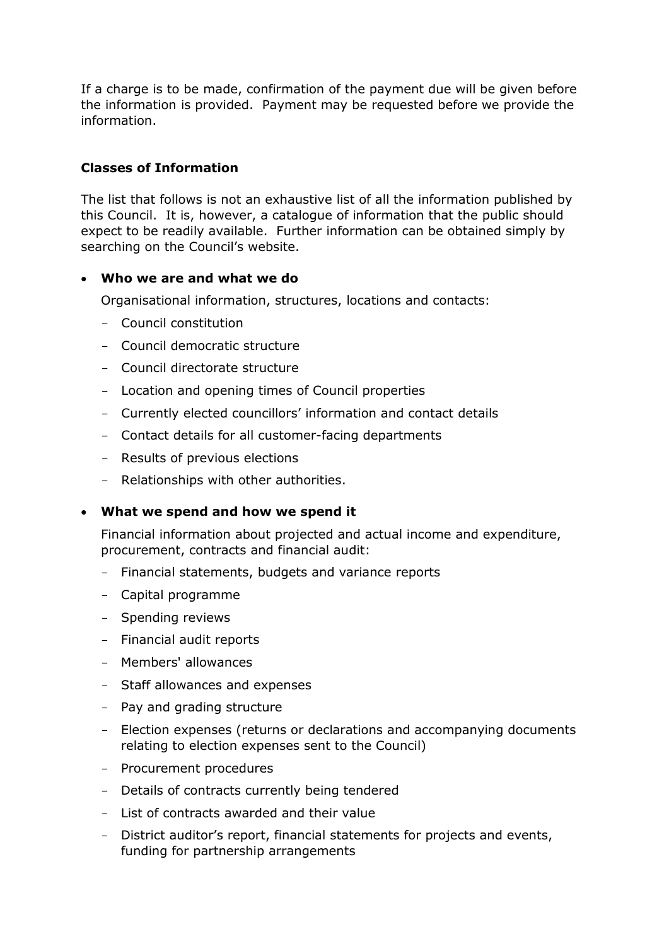If a charge is to be made, confirmation of the payment due will be given before the information is provided. Payment may be requested before we provide the information.

# **Classes of Information**

The list that follows is not an exhaustive list of all the information published by this Council. It is, however, a catalogue of information that the public should expect to be readily available. Further information can be obtained simply by searching on the Council's website.

### **Who we are and what we do**

Organisational information, structures, locations and contacts:

- Council constitution
- Council democratic structure
- Council directorate structure
- Location and opening times of Council properties
- Currently elected councillors' information and contact details
- Contact details for all customer-facing departments
- Results of previous elections
- Relationships with other authorities.

### **What we spend and how we spend it**

Financial information about projected and actual income and expenditure, procurement, contracts and financial audit:

- Financial statements, budgets and variance reports
- Capital programme
- Spending reviews
- Financial audit reports
- Members' allowances
- Staff allowances and expenses
- Pay and grading structure
- Election expenses (returns or declarations and accompanying documents relating to election expenses sent to the Council)
- Procurement procedures
- Details of contracts currently being tendered
- List of contracts awarded and their value
- District auditor's report, financial statements for projects and events, funding for partnership arrangements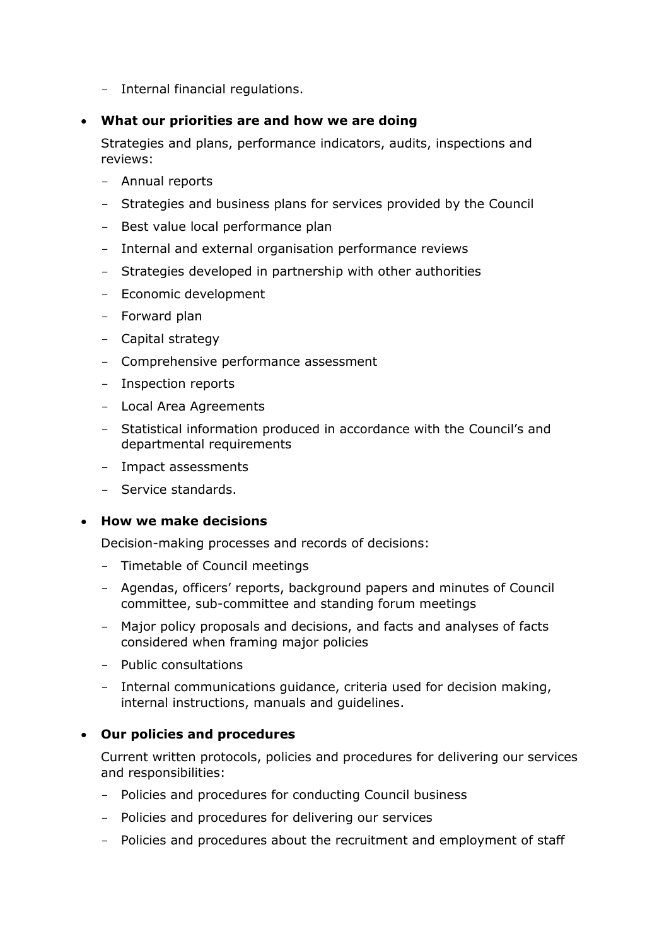- Internal financial regulations.

### **What our priorities are and how we are doing**

Strategies and plans, performance indicators, audits, inspections and reviews:

- Annual reports
- Strategies and business plans for services provided by the Council
- Best value local performance plan
- Internal and external organisation performance reviews
- Strategies developed in partnership with other authorities
- Economic development
- Forward plan
- Capital strategy
- Comprehensive performance assessment
- Inspection reports
- Local Area Agreements
- Statistical information produced in accordance with the Council's and departmental requirements
- Impact assessments
- Service standards.

### **How we make decisions**

Decision-making processes and records of decisions:

- Timetable of Council meetings
- Agendas, officers' reports, background papers and minutes of Council committee, sub-committee and standing forum meetings
- Major policy proposals and decisions, and facts and analyses of facts considered when framing major policies
- Public consultations
- Internal communications guidance, criteria used for decision making, internal instructions, manuals and guidelines.

### **Our policies and procedures**

Current written protocols, policies and procedures for delivering our services and responsibilities:

- Policies and procedures for conducting Council business
- Policies and procedures for delivering our services
- Policies and procedures about the recruitment and employment of staff